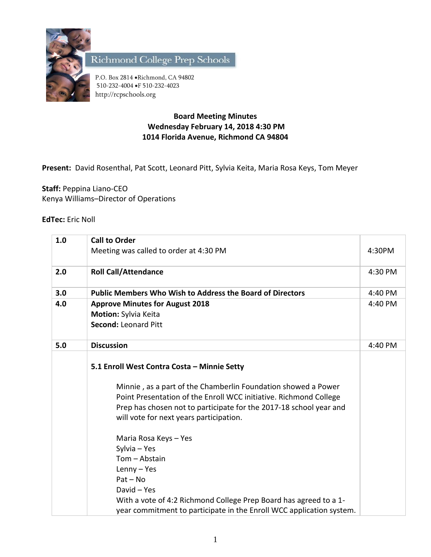

Richmond College Prep Schools

P.O. Box 2814 . Richmond, CA 94802 510-232-4004 F 510-232-4023 http://rcpschools.org

## **Board Meeting Minutes Wednesday February 14, 2018 4:30 PM 1014 Florida Avenue, Richmond CA 94804**

**Present:** David Rosenthal, Pat Scott, Leonard Pitt, Sylvia Keita, Maria Rosa Keys, Tom Meyer

**Staff:** Peppina Liano-CEO Kenya Williams–Director of Operations

## **EdTec:** Eric Noll

| 1.0 | <b>Call to Order</b>                                                                                                                                                                                                                                                                                                                                                                                     |         |
|-----|----------------------------------------------------------------------------------------------------------------------------------------------------------------------------------------------------------------------------------------------------------------------------------------------------------------------------------------------------------------------------------------------------------|---------|
|     | Meeting was called to order at 4:30 PM                                                                                                                                                                                                                                                                                                                                                                   | 4:30PM  |
| 2.0 | <b>Roll Call/Attendance</b>                                                                                                                                                                                                                                                                                                                                                                              | 4:30 PM |
| 3.0 | <b>Public Members Who Wish to Address the Board of Directors</b>                                                                                                                                                                                                                                                                                                                                         | 4:40 PM |
| 4.0 | <b>Approve Minutes for August 2018</b>                                                                                                                                                                                                                                                                                                                                                                   | 4:40 PM |
|     | Motion: Sylvia Keita                                                                                                                                                                                                                                                                                                                                                                                     |         |
|     | <b>Second: Leonard Pitt</b>                                                                                                                                                                                                                                                                                                                                                                              |         |
| 5.0 | <b>Discussion</b>                                                                                                                                                                                                                                                                                                                                                                                        | 4:40 PM |
|     | 5.1 Enroll West Contra Costa - Minnie Setty<br>Minnie, as a part of the Chamberlin Foundation showed a Power<br>Point Presentation of the Enroll WCC initiative. Richmond College<br>Prep has chosen not to participate for the 2017-18 school year and<br>will vote for next years participation.<br>Maria Rosa Keys - Yes<br>Sylvia - Yes<br>Tom - Abstain<br>Lenny - Yes<br>$Pat - No$<br>David - Yes |         |
|     | With a vote of 4:2 Richmond College Prep Board has agreed to a 1-<br>year commitment to participate in the Enroll WCC application system.                                                                                                                                                                                                                                                                |         |